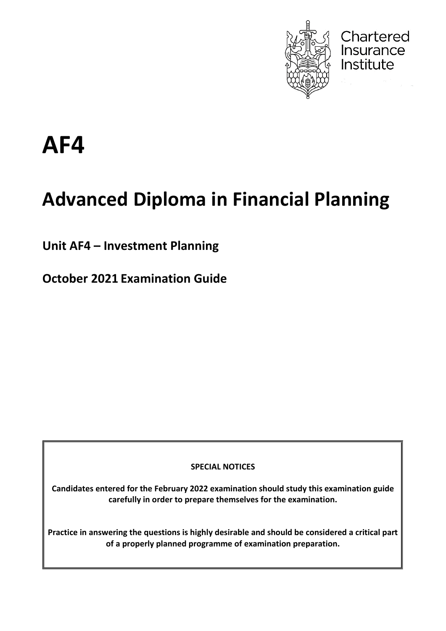

**Chartered**<br>Insurance

Institute

# **AF4**

# **Advanced Diploma in Financial Planning**

**Unit AF4 – Investment Planning**

**October 2021 Examination Guide**

**SPECIAL NOTICES**

**Candidates entered for the February 2022 examination should study this examination guide carefully in order to prepare themselves for the examination.**

**Practice in answering the questions is highly desirable and should be considered a critical part of a properly planned programme of examination preparation.**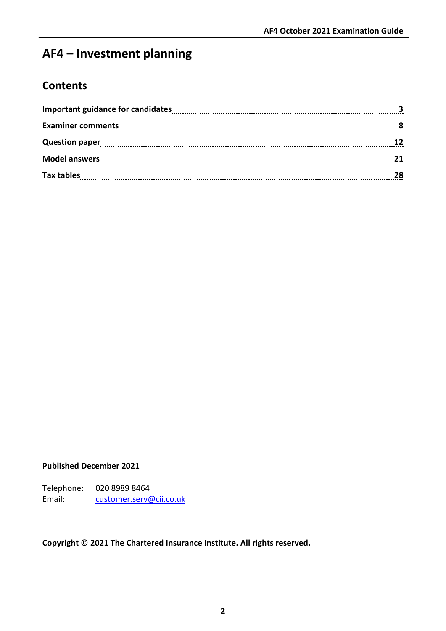# **AF4** – **Investment planning**

# **Contents**

| Question paper 12    |    |
|----------------------|----|
| <b>Model answers</b> |    |
| <b>Tax tables</b>    | 28 |

#### **Published December 2021**

Telephone: 020 8989 8464 Email: [customer.serv@cii.co.uk](mailto:customer.serv@cii.co.uk)

## **Copyright © 2021 The Chartered Insurance Institute. All rights reserved.**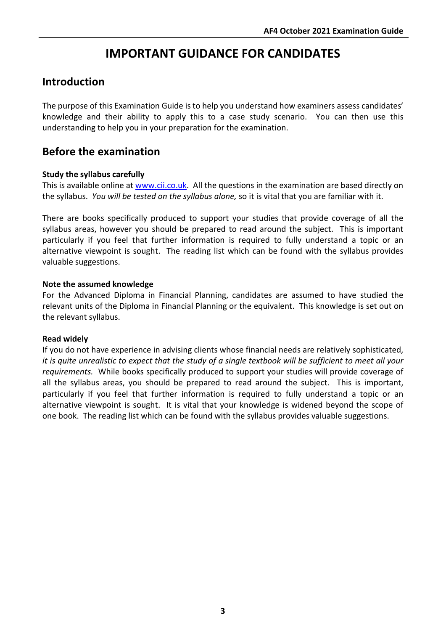# **IMPORTANT GUIDANCE FOR CANDIDATES**

# **Introduction**

The purpose of this Examination Guide is to help you understand how examiners assess candidates' knowledge and their ability to apply this to a case study scenario. You can then use this understanding to help you in your preparation for the examination.

# **Before the examination**

## **Study the syllabus carefully**

This is available online at [www.cii.co.uk.](http://www.cii.co.uk/) All the questions in the examination are based directly on the syllabus. *You will be tested on the syllabus alone,* so it is vital that you are familiar with it.

There are books specifically produced to support your studies that provide coverage of all the syllabus areas, however you should be prepared to read around the subject. This is important particularly if you feel that further information is required to fully understand a topic or an alternative viewpoint is sought. The reading list which can be found with the syllabus provides valuable suggestions.

## **Note the assumed knowledge**

For the Advanced Diploma in Financial Planning, candidates are assumed to have studied the relevant units of the Diploma in Financial Planning or the equivalent. This knowledge is set out on the relevant syllabus.

#### **Read widely**

If you do not have experience in advising clients whose financial needs are relatively sophisticated, *it is quite unrealistic to expect that the study of a single textbook will be sufficient to meet all your requirements.* While books specifically produced to support your studies will provide coverage of all the syllabus areas, you should be prepared to read around the subject. This is important, particularly if you feel that further information is required to fully understand a topic or an alternative viewpoint is sought. It is vital that your knowledge is widened beyond the scope of one book. The reading list which can be found with the syllabus provides valuable suggestions.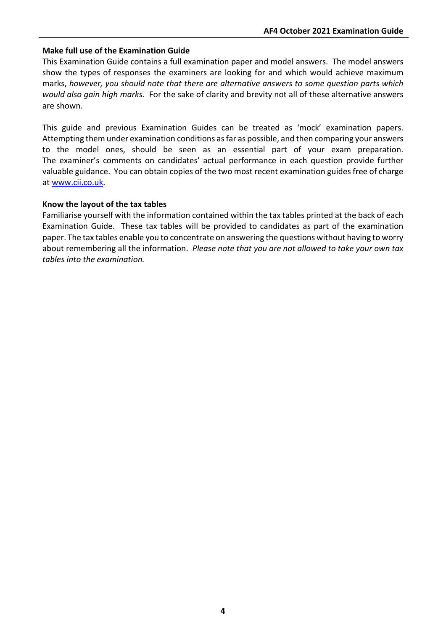#### **Make full use of the Examination Guide**

This Examination Guide contains a full examination paper and model answers. The model answers show the types of responses the examiners are looking for and which would achieve maximum marks, *however, you should note that there are alternative answers to some question parts which would also gain high marks.* For the sake of clarity and brevity not all of these alternative answers are shown.

This guide and previous Examination Guides can be treated as 'mock' examination papers. Attempting them under examination conditions as far as possible, and then comparing your answers to the model ones, should be seen as an essential part of your exam preparation. The examiner's comments on candidates' actual performance in each question provide further valuable guidance. You can obtain copies of the two most recent examination guides free of charge at [www.cii.co.uk.](http://www.cii.co.uk/)

#### **Know the layout of the tax tables**

Familiarise yourself with the information contained within the tax tables printed at the back of each Examination Guide. These tax tables will be provided to candidates as part of the examination paper. The tax tables enable you to concentrate on answering the questions without having to worry about remembering all the information. *Please note that you are not allowed to take your own tax tables into the examination.*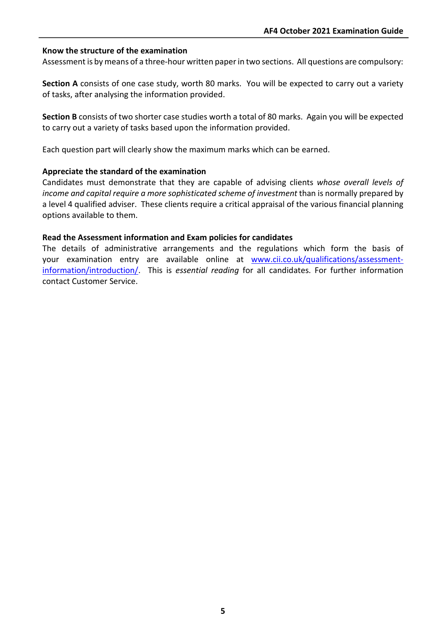#### **Know the structure of the examination**

Assessment is by means of a three-hour written paper in two sections. All questions are compulsory:

**Section A** consists of one case study, worth 80 marks. You will be expected to carry out a variety of tasks, after analysing the information provided.

**Section B** consists of two shorter case studies worth a total of 80 marks. Again you will be expected to carry out a variety of tasks based upon the information provided.

Each question part will clearly show the maximum marks which can be earned.

#### **Appreciate the standard of the examination**

Candidates must demonstrate that they are capable of advising clients *whose overall levels of income and capital require a more sophisticated scheme of investment* than is normally prepared by a level 4 qualified adviser. These clients require a critical appraisal of the various financial planning options available to them.

#### **Read the Assessment information and Exam policies for candidates**

The details of administrative arrangements and the regulations which form the basis of your examination entry are available online at [www.cii.co.uk/qualifications/assessment](http://www.cii.co.uk/qualifications/assessment-information/introduction/)[information/introduction/.](http://www.cii.co.uk/qualifications/assessment-information/introduction/) This is *essential reading* for all candidates. For further information contact Customer Service.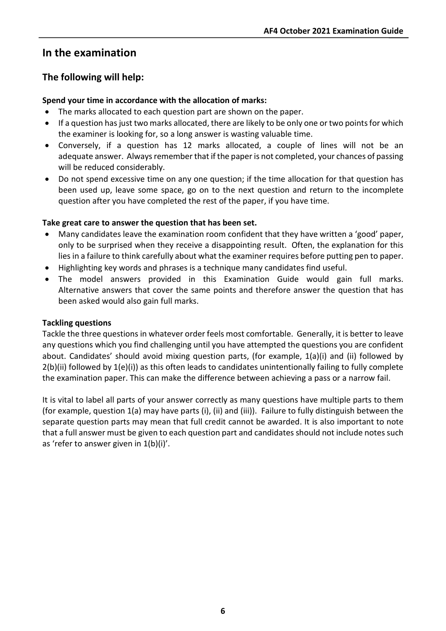# **In the examination**

# **The following will help:**

#### **Spend your time in accordance with the allocation of marks:**

- The marks allocated to each question part are shown on the paper.
- If a question has just two marks allocated, there are likely to be only one or two points for which the examiner is looking for, so a long answer is wasting valuable time.
- Conversely, if a question has 12 marks allocated, a couple of lines will not be an adequate answer. Always remember that if the paper is not completed, your chances of passing will be reduced considerably.
- Do not spend excessive time on any one question; if the time allocation for that question has been used up, leave some space, go on to the next question and return to the incomplete question after you have completed the rest of the paper, if you have time.

#### **Take great care to answer the question that has been set.**

- Many candidates leave the examination room confident that they have written a 'good' paper, only to be surprised when they receive a disappointing result. Often, the explanation for this lies in a failure to think carefully about what the examiner requires before putting pen to paper.
- Highlighting key words and phrases is a technique many candidates find useful.
- The model answers provided in this Examination Guide would gain full marks. Alternative answers that cover the same points and therefore answer the question that has been asked would also gain full marks.

#### **Tackling questions**

Tackle the three questions in whatever order feels most comfortable. Generally, it is better to leave any questions which you find challenging until you have attempted the questions you are confident about. Candidates' should avoid mixing question parts, (for example, 1(a)(i) and (ii) followed by  $2(b)(ii)$  followed by  $1(e)(i)$  as this often leads to candidates unintentionally failing to fully complete the examination paper. This can make the difference between achieving a pass or a narrow fail.

It is vital to label all parts of your answer correctly as many questions have multiple parts to them (for example, question 1(a) may have parts (i), (ii) and (iii)). Failure to fully distinguish between the separate question parts may mean that full credit cannot be awarded. It is also important to note that a full answer must be given to each question part and candidates should not include notes such as 'refer to answer given in 1(b)(i)'.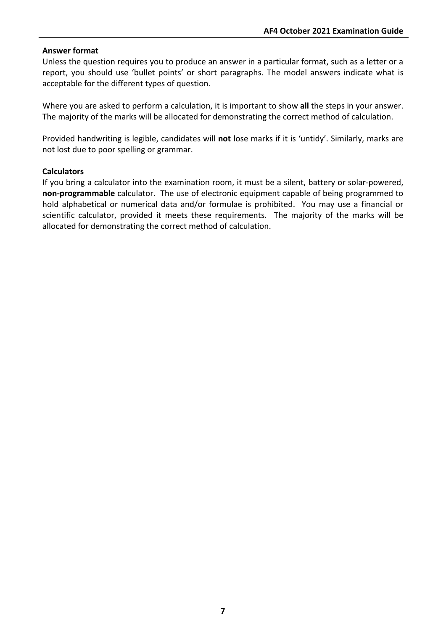#### **Answer format**

Unless the question requires you to produce an answer in a particular format, such as a letter or a report, you should use 'bullet points' or short paragraphs. The model answers indicate what is acceptable for the different types of question.

Where you are asked to perform a calculation, it is important to show **all** the steps in your answer. The majority of the marks will be allocated for demonstrating the correct method of calculation.

Provided handwriting is legible, candidates will **not** lose marks if it is 'untidy'. Similarly, marks are not lost due to poor spelling or grammar.

#### **Calculators**

If you bring a calculator into the examination room, it must be a silent, battery or solar-powered, **non-programmable** calculator. The use of electronic equipment capable of being programmed to hold alphabetical or numerical data and/or formulae is prohibited. You may use a financial or scientific calculator, provided it meets these requirements. The majority of the marks will be allocated for demonstrating the correct method of calculation.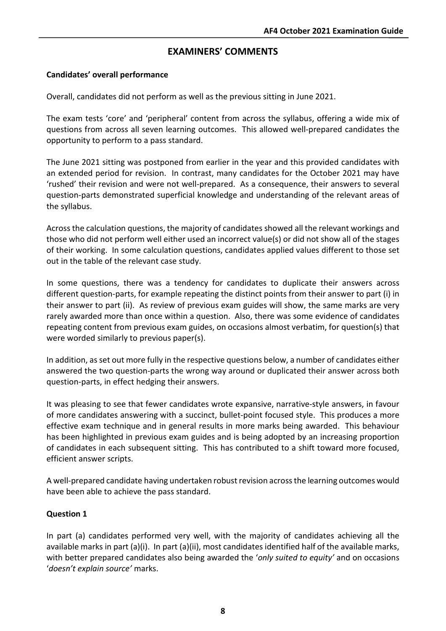# **EXAMINERS' COMMENTS**

## **Candidates' overall performance**

Overall, candidates did not perform as well as the previous sitting in June 2021.

The exam tests 'core' and 'peripheral' content from across the syllabus, offering a wide mix of questions from across all seven learning outcomes. This allowed well-prepared candidates the opportunity to perform to a pass standard.

The June 2021 sitting was postponed from earlier in the year and this provided candidates with an extended period for revision. In contrast, many candidates for the October 2021 may have 'rushed' their revision and were not well-prepared. As a consequence, their answers to several question-parts demonstrated superficial knowledge and understanding of the relevant areas of the syllabus.

Across the calculation questions, the majority of candidates showed all the relevant workings and those who did not perform well either used an incorrect value(s) or did not show all of the stages of their working. In some calculation questions, candidates applied values different to those set out in the table of the relevant case study.

In some questions, there was a tendency for candidates to duplicate their answers across different question-parts, for example repeating the distinct points from their answer to part (i) in their answer to part (ii). As review of previous exam guides will show, the same marks are very rarely awarded more than once within a question. Also, there was some evidence of candidates repeating content from previous exam guides, on occasions almost verbatim, for question(s) that were worded similarly to previous paper(s).

In addition, as set out more fully in the respective questions below, a number of candidates either answered the two question-parts the wrong way around or duplicated their answer across both question-parts, in effect hedging their answers.

It was pleasing to see that fewer candidates wrote expansive, narrative-style answers, in favour of more candidates answering with a succinct, bullet-point focused style. This produces a more effective exam technique and in general results in more marks being awarded. This behaviour has been highlighted in previous exam guides and is being adopted by an increasing proportion of candidates in each subsequent sitting. This has contributed to a shift toward more focused, efficient answer scripts.

A well-prepared candidate having undertaken robust revision across the learning outcomes would have been able to achieve the pass standard.

#### **Question 1**

In part (a) candidates performed very well, with the majority of candidates achieving all the available marks in part (a)(i). In part (a)(ii), most candidates identified half of the available marks, with better prepared candidates also being awarded the '*only suited to equity'* and on occasions '*doesn't explain source'* marks.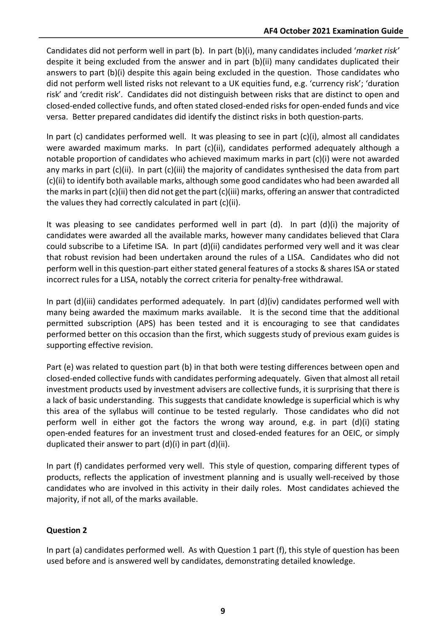Candidates did not perform well in part (b). In part (b)(i), many candidates included '*market risk'* despite it being excluded from the answer and in part (b)(ii) many candidates duplicated their answers to part (b)(i) despite this again being excluded in the question. Those candidates who did not perform well listed risks not relevant to a UK equities fund, e.g. 'currency risk'; 'duration risk' and 'credit risk'. Candidates did not distinguish between risks that are distinct to open and closed-ended collective funds, and often stated closed-ended risks for open-ended funds and vice versa. Better prepared candidates did identify the distinct risks in both question-parts.

In part (c) candidates performed well. It was pleasing to see in part (c)(i), almost all candidates were awarded maximum marks. In part (c)(ii), candidates performed adequately although a notable proportion of candidates who achieved maximum marks in part (c)(i) were not awarded any marks in part (c)(ii). In part (c)(iii) the majority of candidates synthesised the data from part (c)(ii) to identify both available marks, although some good candidates who had been awarded all the marks in part (c)(ii) then did not get the part (c)(iii) marks, offering an answer that contradicted the values they had correctly calculated in part (c)(ii).

It was pleasing to see candidates performed well in part  $(d)$ . In part  $(d)(i)$  the majority of candidates were awarded all the available marks, however many candidates believed that Clara could subscribe to a Lifetime ISA. In part (d)(ii) candidates performed very well and it was clear that robust revision had been undertaken around the rules of a LISA. Candidates who did not perform well in this question-part either stated general features of a stocks & shares ISA or stated incorrect rules for a LISA, notably the correct criteria for penalty-free withdrawal.

In part (d)(iii) candidates performed adequately. In part (d)(iv) candidates performed well with many being awarded the maximum marks available. It is the second time that the additional permitted subscription (APS) has been tested and it is encouraging to see that candidates performed better on this occasion than the first, which suggests study of previous exam guides is supporting effective revision.

Part (e) was related to question part (b) in that both were testing differences between open and closed-ended collective funds with candidates performing adequately. Given that almost all retail investment products used by investment advisers are collective funds, it is surprising that there is a lack of basic understanding. This suggests that candidate knowledge is superficial which is why this area of the syllabus will continue to be tested regularly. Those candidates who did not perform well in either got the factors the wrong way around, e.g. in part (d)(i) stating open-ended features for an investment trust and closed-ended features for an OEIC, or simply duplicated their answer to part (d)(i) in part (d)(ii).

In part (f) candidates performed very well. This style of question, comparing different types of products, reflects the application of investment planning and is usually well-received by those candidates who are involved in this activity in their daily roles. Most candidates achieved the majority, if not all, of the marks available.

## **Question 2**

In part (a) candidates performed well. As with Question 1 part (f), this style of question has been used before and is answered well by candidates, demonstrating detailed knowledge.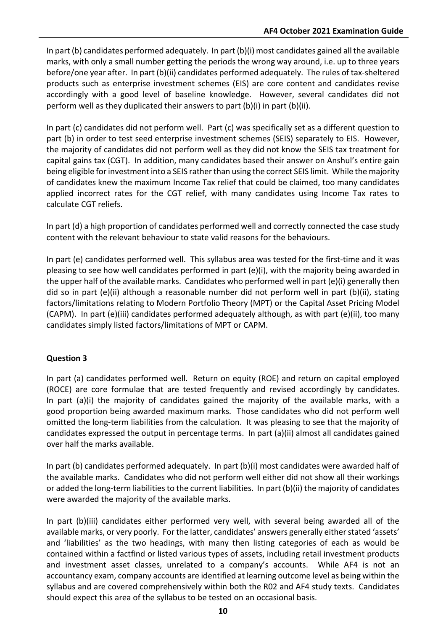In part (b) candidates performed adequately. In part (b)(i) most candidates gained all the available marks, with only a small number getting the periods the wrong way around, i.e. up to three years before/one year after. In part (b)(ii) candidates performed adequately. The rules of tax-sheltered products such as enterprise investment schemes (EIS) are core content and candidates revise accordingly with a good level of baseline knowledge. However, several candidates did not perform well as they duplicated their answers to part (b)(i) in part (b)(ii).

In part (c) candidates did not perform well. Part (c) was specifically set as a different question to part (b) in order to test seed enterprise investment schemes (SEIS) separately to EIS. However, the majority of candidates did not perform well as they did not know the SEIS tax treatment for capital gains tax (CGT). In addition, many candidates based their answer on Anshul's entire gain being eligible for investment into a SEIS rather than using the correct SEIS limit. While the majority of candidates knew the maximum Income Tax relief that could be claimed, too many candidates applied incorrect rates for the CGT relief, with many candidates using Income Tax rates to calculate CGT reliefs.

In part (d) a high proportion of candidates performed well and correctly connected the case study content with the relevant behaviour to state valid reasons for the behaviours.

In part (e) candidates performed well. This syllabus area was tested for the first-time and it was pleasing to see how well candidates performed in part (e)(i), with the majority being awarded in the upper half of the available marks. Candidates who performed well in part (e)(i) generally then did so in part (e)(ii) although a reasonable number did not perform well in part (b)(ii), stating factors/limitations relating to Modern Portfolio Theory (MPT) or the Capital Asset Pricing Model (CAPM). In part (e)(iii) candidates performed adequately although, as with part (e)(ii), too many candidates simply listed factors/limitations of MPT or CAPM.

## **Question 3**

In part (a) candidates performed well. Return on equity (ROE) and return on capital employed (ROCE) are core formulae that are tested frequently and revised accordingly by candidates. In part (a)(i) the majority of candidates gained the majority of the available marks, with a good proportion being awarded maximum marks. Those candidates who did not perform well omitted the long-term liabilities from the calculation. It was pleasing to see that the majority of candidates expressed the output in percentage terms. In part (a)(ii) almost all candidates gained over half the marks available.

In part (b) candidates performed adequately. In part (b)(i) most candidates were awarded half of the available marks. Candidates who did not perform well either did not show all their workings or added the long-term liabilities to the current liabilities. In part (b)(ii) the majority of candidates were awarded the majority of the available marks.

In part (b)(iii) candidates either performed very well, with several being awarded all of the available marks, or very poorly. For the latter, candidates' answers generally either stated 'assets' and 'liabilities' as the two headings, with many then listing categories of each as would be contained within a factfind or listed various types of assets, including retail investment products and investment asset classes, unrelated to a company's accounts. While AF4 is not an accountancy exam, company accounts are identified at learning outcome level as being within the syllabus and are covered comprehensively within both the R02 and AF4 study texts. Candidates should expect this area of the syllabus to be tested on an occasional basis.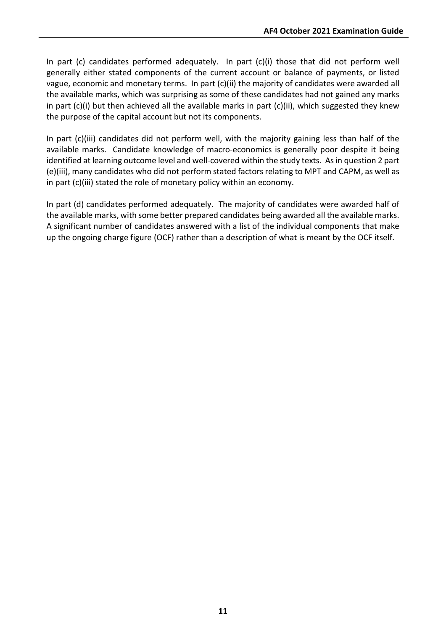In part (c) candidates performed adequately. In part (c)(i) those that did not perform well generally either stated components of the current account or balance of payments, or listed vague, economic and monetary terms. In part (c)(ii) the majority of candidates were awarded all the available marks, which was surprising as some of these candidates had not gained any marks in part (c)(i) but then achieved all the available marks in part (c)(ii), which suggested they knew the purpose of the capital account but not its components.

In part (c)(iii) candidates did not perform well, with the majority gaining less than half of the available marks. Candidate knowledge of macro-economics is generally poor despite it being identified at learning outcome level and well-covered within the study texts. As in question 2 part (e)(iii), many candidates who did not perform stated factors relating to MPT and CAPM, as well as in part (c)(iii) stated the role of monetary policy within an economy.

In part (d) candidates performed adequately. The majority of candidates were awarded half of the available marks, with some better prepared candidates being awarded all the available marks. A significant number of candidates answered with a list of the individual components that make up the ongoing charge figure (OCF) rather than a description of what is meant by the OCF itself.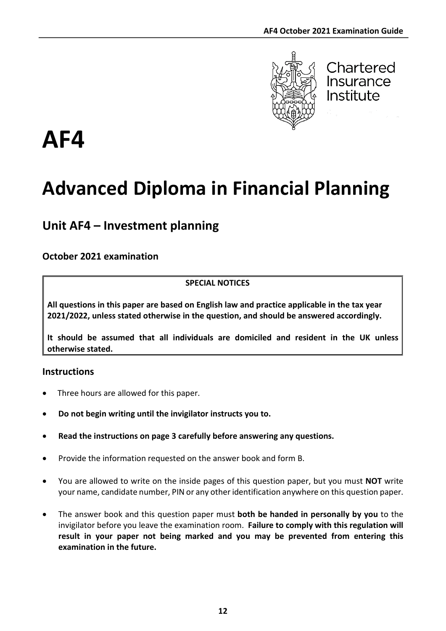

Chartered Insurance Institute

# **AF4**

# **Advanced Diploma in Financial Planning**

# **Unit AF4 – Investment planning**

# **October 2021 examination**

## **SPECIAL NOTICES**

**All questions in this paper are based on English law and practice applicable in the tax year 2021/2022, unless stated otherwise in the question, and should be answered accordingly.**

**It should be assumed that all individuals are domiciled and resident in the UK unless otherwise stated.**

## **Instructions**

- Three hours are allowed for this paper.
- **Do not begin writing until the invigilator instructs you to.**
- **Read the instructions on page 3 carefully before answering any questions.**
- Provide the information requested on the answer book and form B.
- You are allowed to write on the inside pages of this question paper, but you must **NOT** write your name, candidate number, PIN or any other identification anywhere on this question paper.
- The answer book and this question paper must **both be handed in personally by you** to the invigilator before you leave the examination room. **Failure to comply with this regulation will result in your paper not being marked and you may be prevented from entering this examination in the future.**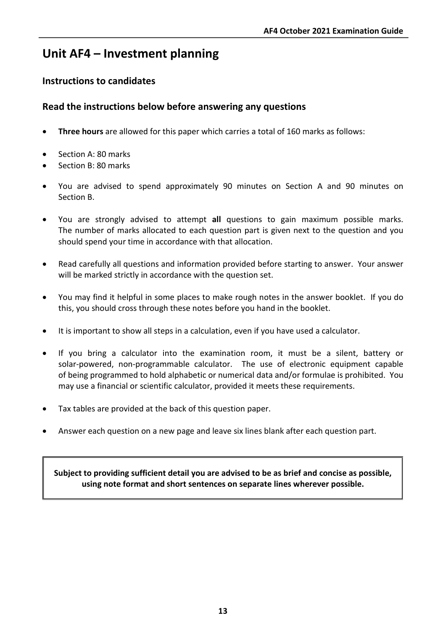# **Unit AF4 – Investment planning**

# **Instructions to candidates**

## **Read the instructions below before answering any questions**

- **Three hours** are allowed for this paper which carries a total of 160 marks as follows:
- Section A: 80 marks
- Section B: 80 marks
- You are advised to spend approximately 90 minutes on Section A and 90 minutes on Section B.
- You are strongly advised to attempt **all** questions to gain maximum possible marks. The number of marks allocated to each question part is given next to the question and you should spend your time in accordance with that allocation.
- Read carefully all questions and information provided before starting to answer. Your answer will be marked strictly in accordance with the question set.
- You may find it helpful in some places to make rough notes in the answer booklet. If you do this, you should cross through these notes before you hand in the booklet.
- It is important to show all steps in a calculation, even if you have used a calculator.
- If you bring a calculator into the examination room, it must be a silent, battery or solar-powered, non-programmable calculator. The use of electronic equipment capable of being programmed to hold alphabetic or numerical data and/or formulae is prohibited. You may use a financial or scientific calculator, provided it meets these requirements.
- Tax tables are provided at the back of this question paper.
- Answer each question on a new page and leave six lines blank after each question part.

**Subject to providing sufficient detail you are advised to be as brief and concise as possible, using note format and short sentences on separate lines wherever possible.**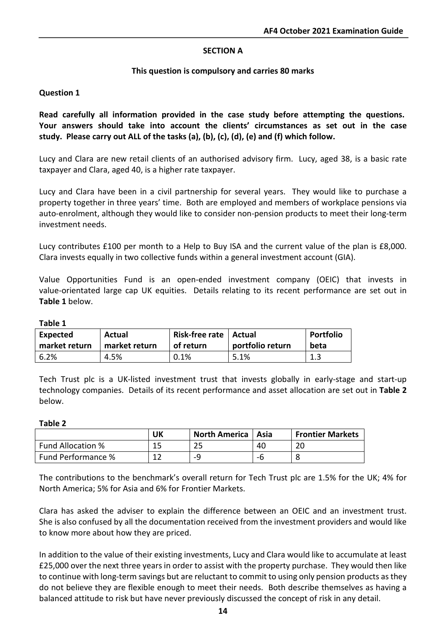#### **SECTION A**

#### **This question is compulsory and carries 80 marks**

#### **Question 1**

**Read carefully all information provided in the case study before attempting the questions. Your answers should take into account the clients' circumstances as set out in the case study. Please carry out ALL of the tasks (a), (b), (c), (d), (e) and (f) which follow.**

Lucy and Clara are new retail clients of an authorised advisory firm. Lucy, aged 38, is a basic rate taxpayer and Clara, aged 40, is a higher rate taxpayer.

Lucy and Clara have been in a civil partnership for several years. They would like to purchase a property together in three years' time. Both are employed and members of workplace pensions via auto-enrolment, although they would like to consider non-pension products to meet their long-term investment needs.

Lucy contributes £100 per month to a Help to Buy ISA and the current value of the plan is £8,000. Clara invests equally in two collective funds within a general investment account (GIA).

Value Opportunities Fund is an open-ended investment company (OEIC) that invests in value-orientated large cap UK equities. Details relating to its recent performance are set out in **Table 1** below.

#### **Table 1**

| <b>Expected</b> | Actual        | Risk-free rate   Actual | portfolio return | Portfolio |
|-----------------|---------------|-------------------------|------------------|-----------|
| market return   | market return | of return               |                  | beta      |
| 6.2%            | 4.5%          | 0.1%                    | 5.1%             | 1.3       |

Tech Trust plc is a UK-listed investment trust that invests globally in early-stage and start-up technology companies. Details of its recent performance and asset allocation are set out in **Table 2** below.

#### **Table 2**

|                          | UK  | <b>North America</b>   Asia |    | <b>Frontier Markets</b> |
|--------------------------|-----|-----------------------------|----|-------------------------|
| <b>Fund Allocation %</b> |     | 25                          | 40 | 20                      |
| Fund Performance %       | 1 ግ | _o                          | -n |                         |

The contributions to the benchmark's overall return for Tech Trust plc are 1.5% for the UK; 4% for North America; 5% for Asia and 6% for Frontier Markets.

Clara has asked the adviser to explain the difference between an OEIC and an investment trust. She is also confused by all the documentation received from the investment providers and would like to know more about how they are priced.

In addition to the value of their existing investments, Lucy and Clara would like to accumulate at least £25,000 over the next three years in order to assist with the property purchase. They would then like to continue with long-term savings but are reluctant to commit to using only pension products as they do not believe they are flexible enough to meet their needs. Both describe themselves as having a balanced attitude to risk but have never previously discussed the concept of risk in any detail.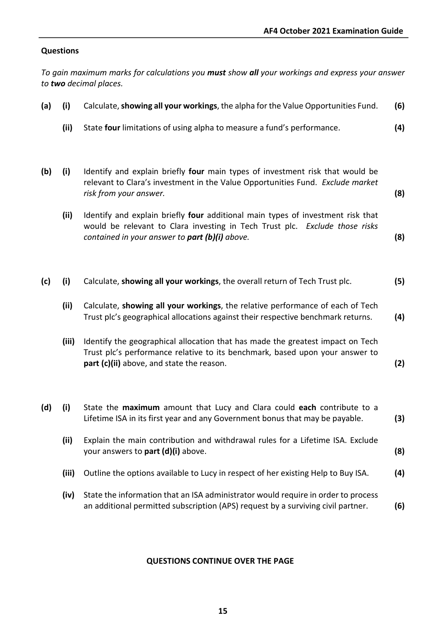## **Questions**

*To gain maximum marks for calculations you must show all your workings and express your answer to two decimal places.*

| (a) | (i)   | Calculate, showing all your workings, the alpha for the Value Opportunities Fund.                                                                                                                                | (6) |
|-----|-------|------------------------------------------------------------------------------------------------------------------------------------------------------------------------------------------------------------------|-----|
|     | (ii)  | State four limitations of using alpha to measure a fund's performance.                                                                                                                                           | (4) |
| (b) | (i)   | Identify and explain briefly four main types of investment risk that would be<br>relevant to Clara's investment in the Value Opportunities Fund. Exclude market<br>risk from your answer.                        | (8) |
|     | (ii)  | Identify and explain briefly four additional main types of investment risk that<br>would be relevant to Clara investing in Tech Trust plc. Exclude those risks<br>contained in your answer to part (b)(i) above. | (8) |
| (c) | (i)   | Calculate, showing all your workings, the overall return of Tech Trust plc.                                                                                                                                      | (5) |
|     | (ii)  | Calculate, showing all your workings, the relative performance of each of Tech<br>Trust plc's geographical allocations against their respective benchmark returns.                                               | (4) |
|     | (iii) | Identify the geographical allocation that has made the greatest impact on Tech<br>Trust plc's performance relative to its benchmark, based upon your answer to<br>part (c)(ii) above, and state the reason.      | (2) |
| (d) | (i)   | State the maximum amount that Lucy and Clara could each contribute to a<br>Lifetime ISA in its first year and any Government bonus that may be payable.                                                          | (3) |
|     | (ii)  | Explain the main contribution and withdrawal rules for a Lifetime ISA. Exclude<br>your answers to part (d)(i) above.                                                                                             | (8) |
|     | (iii) | Outline the options available to Lucy in respect of her existing Help to Buy ISA.                                                                                                                                | (4) |
|     | (iv)  | State the information that an ISA administrator would require in order to process<br>an additional permitted subscription (APS) request by a surviving civil partner.                                            | (6) |

#### **QUESTIONS CONTINUE OVER THE PAGE**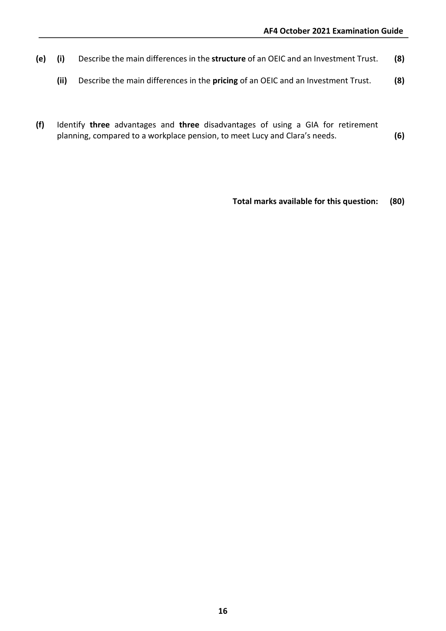- **(e) (i)** Describe the main differences in the **structure** of an OEIC and an Investment Trust. **(8)**
	- **(ii)** Describe the main differences in the **pricing** of an OEIC and an Investment Trust. **(8)**
- **(f)** Identify **three** advantages and **three** disadvantages of using a GIA for retirement planning, compared to a workplace pension, to meet Lucy and Clara's needs. **(6)**

**Total marks available for this question: (80)**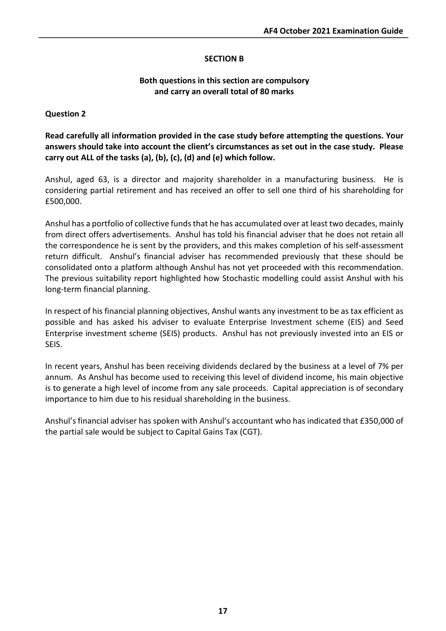#### **SECTION B**

#### **Both questions in this section are compulsory and carry an overall total of 80 marks**

#### **Question 2**

**Read carefully all information provided in the case study before attempting the questions. Your answers should take into account the client's circumstances as set out in the case study. Please carry out ALL of the tasks (a), (b), (c), (d) and (e) which follow.**

Anshul, aged 63, is a director and majority shareholder in a manufacturing business. He is considering partial retirement and has received an offer to sell one third of his shareholding for £500,000.

Anshul has a portfolio of collective funds that he has accumulated over at least two decades, mainly from direct offers advertisements. Anshul has told his financial adviser that he does not retain all the correspondence he is sent by the providers, and this makes completion of his self-assessment return difficult. Anshul's financial adviser has recommended previously that these should be consolidated onto a platform although Anshul has not yet proceeded with this recommendation. The previous suitability report highlighted how Stochastic modelling could assist Anshul with his long-term financial planning.

In respect of his financial planning objectives, Anshul wants any investment to be as tax efficient as possible and has asked his adviser to evaluate Enterprise Investment scheme (EIS) and Seed Enterprise investment scheme (SEIS) products. Anshul has not previously invested into an EIS or SEIS.

In recent years, Anshul has been receiving dividends declared by the business at a level of 7% per annum. As Anshul has become used to receiving this level of dividend income, his main objective is to generate a high level of income from any sale proceeds. Capital appreciation is of secondary importance to him due to his residual shareholding in the business.

Anshul's financial adviser has spoken with Anshul's accountant who has indicated that £350,000 of the partial sale would be subject to Capital Gains Tax (CGT).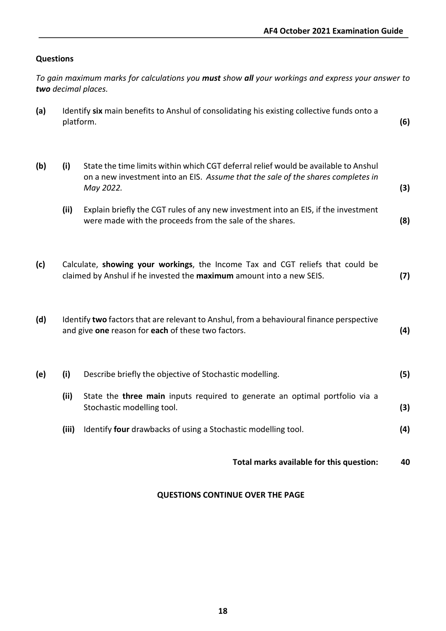## **Questions**

|     |           | To gain maximum marks for calculations you <b>must</b> show all your workings and express your answer to<br>two decimal places.                                                      |     |
|-----|-----------|--------------------------------------------------------------------------------------------------------------------------------------------------------------------------------------|-----|
| (a) | platform. | Identify six main benefits to Anshul of consolidating his existing collective funds onto a                                                                                           | (6) |
| (b) | (i)       | State the time limits within which CGT deferral relief would be available to Anshul<br>on a new investment into an EIS. Assume that the sale of the shares completes in<br>May 2022. | (3) |
|     | (ii)      | Explain briefly the CGT rules of any new investment into an EIS, if the investment<br>were made with the proceeds from the sale of the shares.                                       | (8) |
| (c) |           | Calculate, showing your workings, the Income Tax and CGT reliefs that could be<br>claimed by Anshul if he invested the maximum amount into a new SEIS.                               | (7) |
| (d) |           | Identify two factors that are relevant to Anshul, from a behavioural finance perspective<br>and give one reason for each of these two factors.                                       | (4) |
| (e) | (i)       | Describe briefly the objective of Stochastic modelling.                                                                                                                              | (5) |
|     | (ii)      | State the <b>three main</b> inputs required to generate an optimal portfolio via a<br>Stochastic modelling tool.                                                                     | (3) |
|     | (iii)     | Identify four drawbacks of using a Stochastic modelling tool.                                                                                                                        | (4) |
|     |           | Total marks available for this question:                                                                                                                                             | 40  |

#### **QUESTIONS CONTINUE OVER THE PAGE**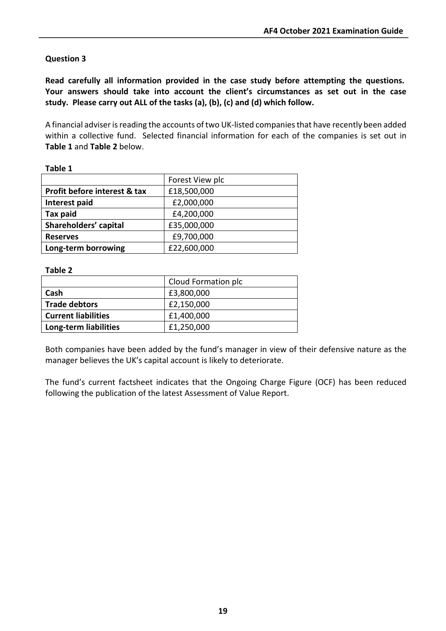## **Question 3**

**Read carefully all information provided in the case study before attempting the questions. Your answers should take into account the client's circumstances as set out in the case study. Please carry out ALL of the tasks (a), (b), (c) and (d) which follow.**

A financial adviser is reading the accounts of two UK-listed companies that have recently been added within a collective fund. Selected financial information for each of the companies is set out in **Table 1** and **Table 2** below.

|                              | Forest View plc |
|------------------------------|-----------------|
| Profit before interest & tax | £18,500,000     |
| Interest paid                | £2,000,000      |
| Tax paid                     | £4,200,000      |
| Shareholders' capital        | £35,000,000     |
| <b>Reserves</b>              | £9,700,000      |
| Long-term borrowing          | £22,600,000     |

#### **Table 1**

#### **Table 2**

|                            | Cloud Formation plc |
|----------------------------|---------------------|
| Cash                       | £3,800,000          |
| <b>Trade debtors</b>       | £2,150,000          |
| <b>Current liabilities</b> | £1,400,000          |
| Long-term liabilities      | £1,250,000          |

Both companies have been added by the fund's manager in view of their defensive nature as the manager believes the UK's capital account is likely to deteriorate.

The fund's current factsheet indicates that the Ongoing Charge Figure (OCF) has been reduced following the publication of the latest Assessment of Value Report.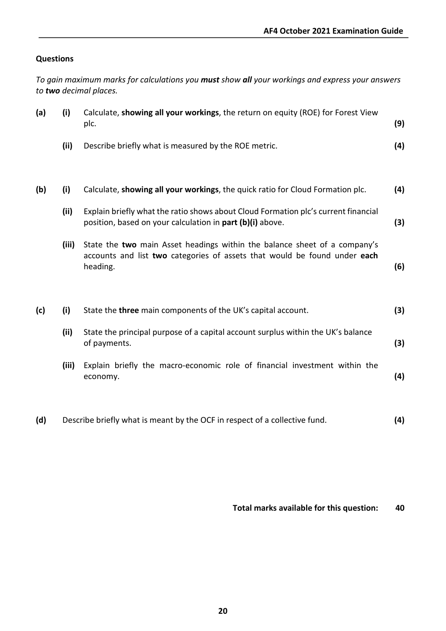#### **Questions**

*To gain maximum marks for calculations you must show all your workings and express your answers to two decimal places.*

| (a) | (i)   | Calculate, showing all your workings, the return on equity (ROE) for Forest View<br>plc.                                                                           | (9) |
|-----|-------|--------------------------------------------------------------------------------------------------------------------------------------------------------------------|-----|
|     | (ii)  | Describe briefly what is measured by the ROE metric.                                                                                                               | (4) |
| (b) | (i)   | Calculate, showing all your workings, the quick ratio for Cloud Formation plc.                                                                                     | (4) |
|     | (ii)  | Explain briefly what the ratio shows about Cloud Formation plc's current financial<br>position, based on your calculation in part (b)(i) above.                    | (3) |
|     | (iii) | State the two main Asset headings within the balance sheet of a company's<br>accounts and list two categories of assets that would be found under each<br>heading. | (6) |
| (c) | (i)   | State the three main components of the UK's capital account.                                                                                                       | (3) |
|     | (ii)  | State the principal purpose of a capital account surplus within the UK's balance<br>of payments.                                                                   | (3) |
|     | (iii) | Explain briefly the macro-economic role of financial investment within the<br>economy.                                                                             | (4) |
| (d) |       | Describe briefly what is meant by the OCF in respect of a collective fund.                                                                                         | (4) |

**Total marks available for this question: 40**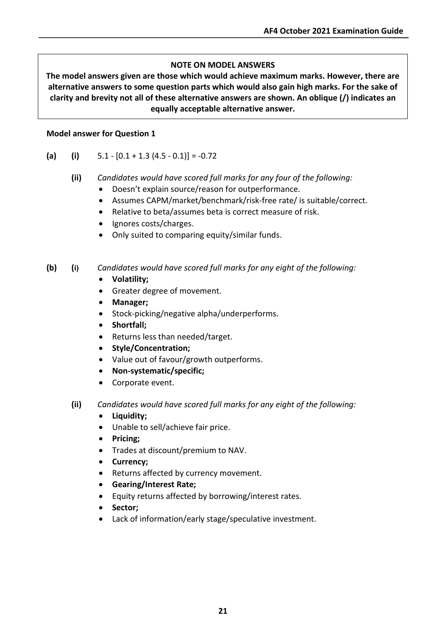## **NOTE ON MODEL ANSWERS**

**The model answers given are those which would achieve maximum marks. However, there are alternative answers to some question parts which would also gain high marks. For the sake of clarity and brevity not all of these alternative answers are shown. An oblique (/) indicates an equally acceptable alternative answer.**

#### **Model answer for Question 1**

- (a) (i)  $5.1 [0.1 + 1.3 (4.5 0.1)] = -0.72$ 
	- **(ii)** *Candidates would have scored full marks for any four of the following:*
		- Doesn't explain source/reason for outperformance.
		- Assumes CAPM/market/benchmark/risk-free rate/ is suitable/correct.
		- Relative to beta/assumes beta is correct measure of risk.
		- Ignores costs/charges.
		- Only suited to comparing equity/similar funds.

#### **(b) (i)** *Candidates would have scored full marks for any eight of the following:*

- **Volatility;**
- Greater degree of movement.
- **Manager;**
- Stock-picking/negative alpha/underperforms.
- **Shortfall;**
- Returns less than needed/target.
- **Style/Concentration;**
- Value out of favour/growth outperforms.
- **Non-systematic/specific;**
- Corporate event.
- **(ii)** *Candidates would have scored full marks for any eight of the following:*
	- **Liquidity;**
	- Unable to sell/achieve fair price.
	- **Pricing;**
	- Trades at discount/premium to NAV.
	- **Currency;**
	- Returns affected by currency movement.
	- **Gearing/Interest Rate;**
	- Equity returns affected by borrowing/interest rates.
	- **Sector;**
	- Lack of information/early stage/speculative investment.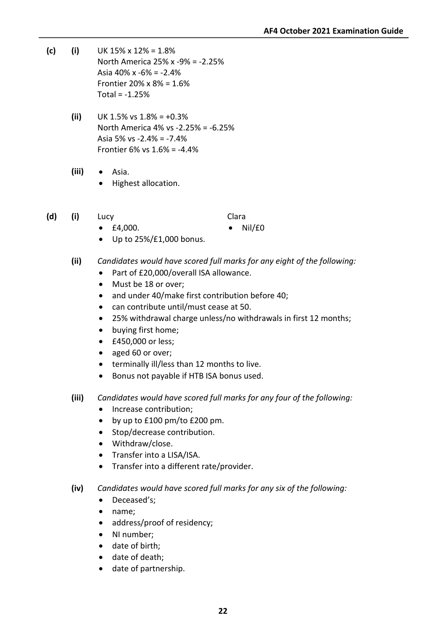- **(c) (i)** UK 15% x 12% = 1.8% North America 25% x -9% = -2.25% Asia 40% x -6% = -2.4% Frontier 20% x 8% = 1.6%  $Total = -1.25%$ 
	- $(iii)$  UK 1.5% vs  $1.8\% = +0.3\%$ North America 4% vs -2.25% = -6.25% Asia 5% vs -2.4% = -7.4% Frontier 6% vs 1.6% = -4.4%
	- **(iii)** Asia.
		- Highest allocation.
- **(d) (i)** Lucy Clara

- £4,000. Nil/£0
- Up to 25%/£1,000 bonus.
- **(ii)** *Candidates would have scored full marks for any eight of the following:*
	- Part of £20,000/overall ISA allowance.
	- Must be 18 or over;
	- and under 40/make first contribution before 40;
	- can contribute until/must cease at 50.
	- 25% withdrawal charge unless/no withdrawals in first 12 months;
	- buying first home;
	- £450,000 or less;
	- aged 60 or over;
	- terminally ill/less than 12 months to live.
	- Bonus not payable if HTB ISA bonus used.
- **(iii)** *Candidates would have scored full marks for any four of the following:*
	- Increase contribution;
	- by up to £100 pm/to £200 pm.
	- Stop/decrease contribution.
	- Withdraw/close.
	- Transfer into a LISA/ISA.
	- Transfer into a different rate/provider.
- **(iv)** *Candidates would have scored full marks for any six of the following:*
	- Deceased's;
	- name;
	- address/proof of residency;
	- NI number;
	- date of birth;
	- date of death;
	- date of partnership.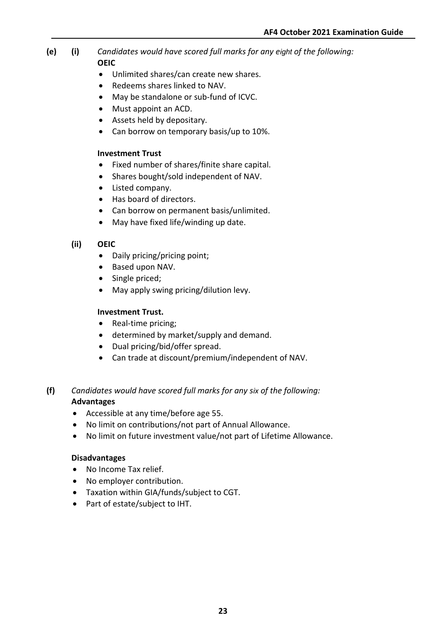- **(e) (i)** *Candidates would have scored full marks for any eight of the following:* **OEIC**
	- Unlimited shares/can create new shares.
	- Redeems shares linked to NAV.
	- May be standalone or sub-fund of ICVC.
	- Must appoint an ACD.
	- Assets held by depositary.
	- Can borrow on temporary basis/up to 10%.

#### **Investment Trust**

- Fixed number of shares/finite share capital.
- Shares bought/sold independent of NAV.
- Listed company.
- Has board of directors.
- Can borrow on permanent basis/unlimited.
- May have fixed life/winding up date.

#### **(ii) OEIC**

- Daily pricing/pricing point;
- Based upon NAV.
- Single priced;
- May apply swing pricing/dilution levy.

#### **Investment Trust.**

- Real-time pricing;
- determined by market/supply and demand.
- Dual pricing/bid/offer spread.
- Can trade at discount/premium/independent of NAV.

#### **(f)** *Candidates would have scored full marks for any six of the following:* **Advantages**

- Accessible at any time/before age 55.
- No limit on contributions/not part of Annual Allowance.
- No limit on future investment value/not part of Lifetime Allowance.

#### **Disadvantages**

- No Income Tax relief.
- No employer contribution.
- Taxation within GIA/funds/subject to CGT.
- Part of estate/subject to IHT.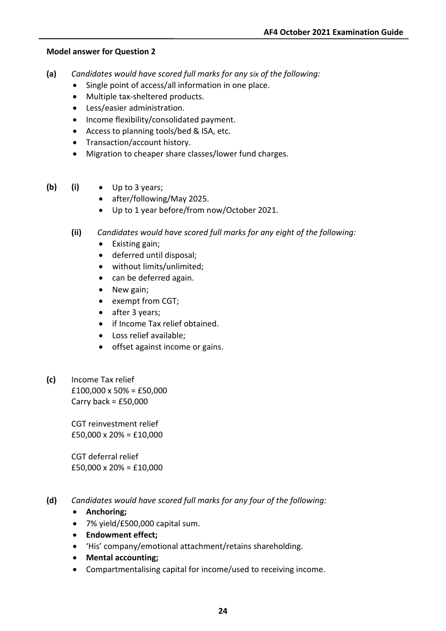#### **Model answer for Question 2**

- **(a)** *Candidates would have scored full marks for any six of the following:*
	- Single point of access/all information in one place.
	- Multiple tax-sheltered products.
	- Less/easier administration.
	- Income flexibility/consolidated payment.
	- Access to planning tools/bed & ISA, etc.
	- Transaction/account history.
	- Migration to cheaper share classes/lower fund charges.
- **(b) (i)** Up to 3 years;
	- after/following/May 2025.
	- Up to 1 year before/from now/October 2021.
	- **(ii)** *Candidates would have scored full marks for any eight of the following:*
		- Existing gain;
		- deferred until disposal;
		- without limits/unlimited;
		- can be deferred again.
		- New gain;
		- exempt from CGT;
		- after 3 years;
		- if Income Tax relief obtained.
		- Loss relief available;
		- offset against income or gains.
- **(c)** Income Tax relief  $£100,000 \times 50\% = £50,000$ Carry back =  $£50,000$

CGT reinvestment relief £50,000 x 20% = £10,000

CGT deferral relief £50,000 x 20% = £10,000

- **(d)** *Candidates would have scored full marks for any four of the following:*
	- **Anchoring;**
	- 7% yield/£500,000 capital sum.
	- **Endowment effect;**
	- 'His' company/emotional attachment/retains shareholding.
	- **Mental accounting;**
	- Compartmentalising capital for income/used to receiving income.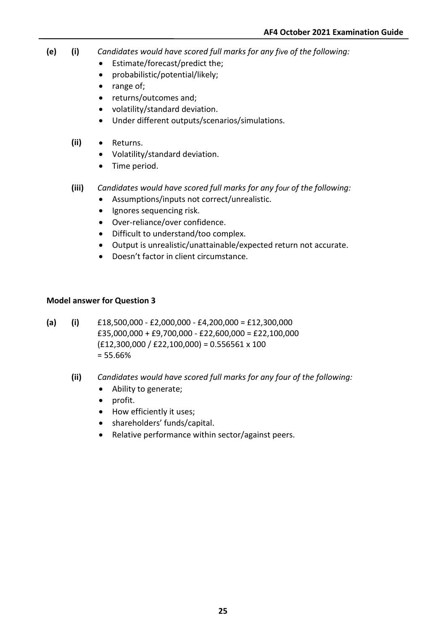- **(e) (i)** *Candidates would have scored full marks for any five of the following:*
	- Estimate/forecast/predict the;
	- probabilistic/potential/likely;
	- range of;
	- returns/outcomes and;
	- volatility/standard deviation.
	- Under different outputs/scenarios/simulations.
	- **(ii)** Returns.
		- Volatility/standard deviation.
		- Time period.
	- **(iii)** *Candidates would have scored full marks for any four of the following:*
		- Assumptions/inputs not correct/unrealistic.
		- Ignores sequencing risk.
		- Over-reliance/over confidence.
		- Difficult to understand/too complex.
		- Output is unrealistic/unattainable/expected return not accurate.
		- Doesn't factor in client circumstance.

#### **Model answer for Question 3**

- **(a) (i)** £18,500,000 £2,000,000 £4,200,000 = £12,300,000 £35,000,000 + £9,700,000 - £22,600,000 = £22,100,000  $(E12,300,000 / E22,100,000) = 0.556561 \times 100$ = 55.66%
	- **(ii)** *Candidates would have scored full marks for any four of the following:*
		- Ability to generate;
		- profit.
		- How efficiently it uses;
		- shareholders' funds/capital.
		- Relative performance within sector/against peers.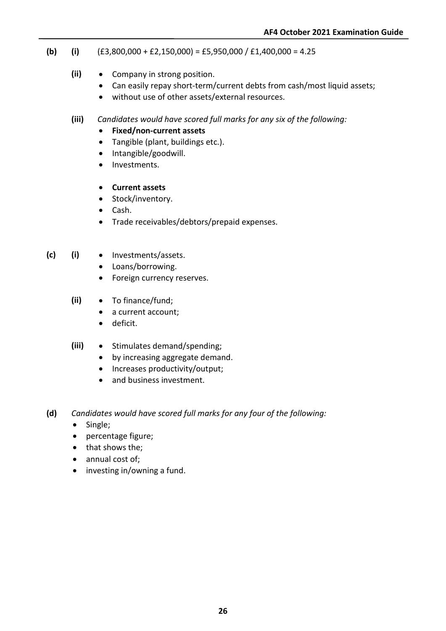- **(b) (i)**  $(E3,800,000 + E2,150,000) = E5,950,000 / E1,400,000 = 4.25$ 
	- **(ii)** Company in strong position.
		- Can easily repay short-term/current debts from cash/most liquid assets;
		- without use of other assets/external resources.
	- **(iii)** *Candidates would have scored full marks for any six of the following:*
		- **Fixed/non-current assets**
		- Tangible (plant, buildings etc.).
		- Intangible/goodwill.
		- Investments.

#### • **Current assets**

- Stock/inventory.
- Cash.
- Trade receivables/debtors/prepaid expenses.
- **(c) (i)** Investments/assets.
	- Loans/borrowing.
	- Foreign currency reserves.
	- **(ii)** To finance/fund;
		- a current account;
		- deficit.
	- **(iii)** Stimulates demand/spending;
		- by increasing aggregate demand.
		- Increases productivity/output;
		- and business investment.
- **(d)** *Candidates would have scored full marks for any four of the following:*
	- Single;
	- percentage figure;
	- that shows the;
	- annual cost of;
	- investing in/owning a fund.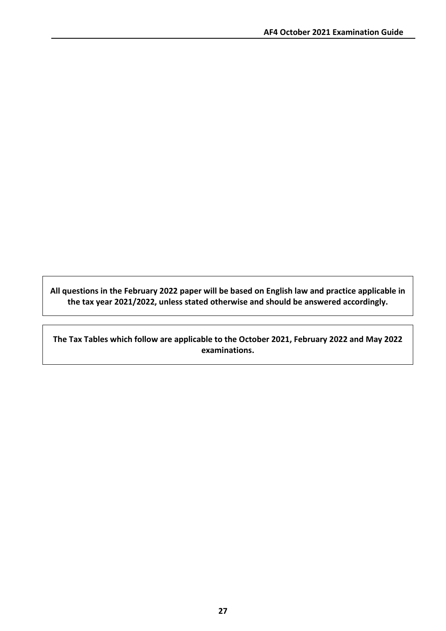**All questions in the February 2022 paper will be based on English law and practice applicable in the tax year 2021/2022, unless stated otherwise and should be answered accordingly.**

**The Tax Tables which follow are applicable to the October 2021, February 2022 and May 2022 examinations.**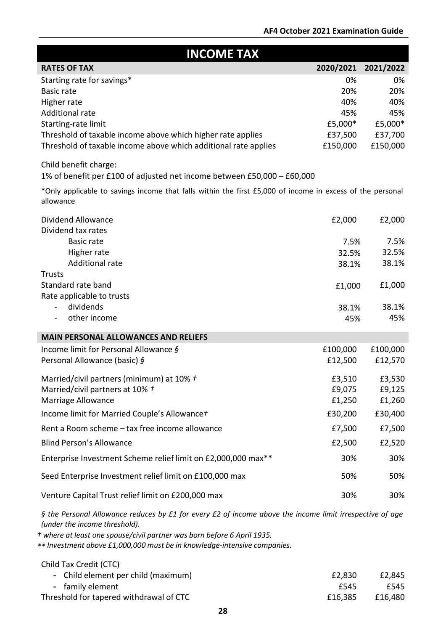| <b>INCOME TAX</b>                                                                                                                                                                                                                                                                                |           |           |
|--------------------------------------------------------------------------------------------------------------------------------------------------------------------------------------------------------------------------------------------------------------------------------------------------|-----------|-----------|
| <b>RATES OF TAX</b>                                                                                                                                                                                                                                                                              | 2020/2021 | 2021/2022 |
| Starting rate for savings*                                                                                                                                                                                                                                                                       | 0%        | 0%        |
| <b>Basic rate</b>                                                                                                                                                                                                                                                                                | 20%       | 20%       |
| Higher rate                                                                                                                                                                                                                                                                                      | 40%       | 40%       |
| Additional rate                                                                                                                                                                                                                                                                                  | 45%       | 45%       |
| Starting-rate limit                                                                                                                                                                                                                                                                              | £5,000*   | £5,000*   |
| Threshold of taxable income above which higher rate applies                                                                                                                                                                                                                                      | £37,500   | £37,700   |
| Threshold of taxable income above which additional rate applies                                                                                                                                                                                                                                  | £150,000  | £150,000  |
| Child benefit charge:                                                                                                                                                                                                                                                                            |           |           |
| 1% of benefit per £100 of adjusted net income between £50,000 - £60,000                                                                                                                                                                                                                          |           |           |
| *Only applicable to savings income that falls within the first £5,000 of income in excess of the personal<br>allowance                                                                                                                                                                           |           |           |
| Dividend Allowance<br>Dividend tax rates                                                                                                                                                                                                                                                         | £2,000    | £2,000    |
| <b>Basic rate</b>                                                                                                                                                                                                                                                                                | 7.5%      | 7.5%      |
| Higher rate                                                                                                                                                                                                                                                                                      | 32.5%     | 32.5%     |
| <b>Additional rate</b>                                                                                                                                                                                                                                                                           | 38.1%     | 38.1%     |
| <b>Trusts</b>                                                                                                                                                                                                                                                                                    |           |           |
| Standard rate band                                                                                                                                                                                                                                                                               | £1,000    | £1,000    |
| Rate applicable to trusts                                                                                                                                                                                                                                                                        |           |           |
| dividends<br>$\qquad \qquad -$                                                                                                                                                                                                                                                                   | 38.1%     | 38.1%     |
| other income                                                                                                                                                                                                                                                                                     | 45%       | 45%       |
| <b>MAIN PERSONAL ALLOWANCES AND RELIEFS</b>                                                                                                                                                                                                                                                      |           |           |
| Income limit for Personal Allowance §                                                                                                                                                                                                                                                            | £100,000  | £100,000  |
| Personal Allowance (basic) §                                                                                                                                                                                                                                                                     | £12,500   | £12,570   |
| Married/civil partners (minimum) at 10% t                                                                                                                                                                                                                                                        | £3,510    | £3,530    |
| Married/civil partners at 10% t                                                                                                                                                                                                                                                                  | £9,075    | £9,125    |
| <b>Marriage Allowance</b>                                                                                                                                                                                                                                                                        | £1,250    | £1,260    |
| Income limit for Married Couple's Allowance +                                                                                                                                                                                                                                                    | £30,200   | £30,400   |
| Rent a Room scheme - tax free income allowance                                                                                                                                                                                                                                                   | £7,500    | £7,500    |
| <b>Blind Person's Allowance</b>                                                                                                                                                                                                                                                                  | £2,500    | £2,520    |
| Enterprise Investment Scheme relief limit on £2,000,000 max**                                                                                                                                                                                                                                    | 30%       | 30%       |
| Seed Enterprise Investment relief limit on £100,000 max                                                                                                                                                                                                                                          | 50%       | 50%       |
| Venture Capital Trust relief limit on £200,000 max                                                                                                                                                                                                                                               | 30%       | 30%       |
| § the Personal Allowance reduces by £1 for every £2 of income above the income limit irrespective of age<br>(under the income threshold).<br>t where at least one spouse/civil partner was born before 6 April 1935.<br>** Investment above £1,000,000 must be in knowledge-intensive companies. |           |           |

Child Tax Credit (CTC)

| - Child element per child (maximum)     | £2,830  | £2.845  |
|-----------------------------------------|---------|---------|
| - family element                        | £545    | £545    |
| Threshold for tapered withdrawal of CTC | £16.385 | £16,480 |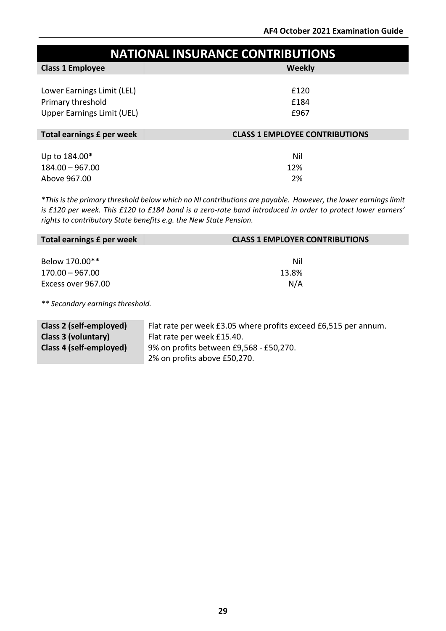| <b>NATIONAL INSURANCE CONTRIBUTIONS</b> |                                       |  |  |
|-----------------------------------------|---------------------------------------|--|--|
| <b>Class 1 Employee</b>                 | Weekly                                |  |  |
|                                         |                                       |  |  |
| Lower Earnings Limit (LEL)              | £120                                  |  |  |
| Primary threshold                       | £184                                  |  |  |
| <b>Upper Earnings Limit (UEL)</b>       | £967                                  |  |  |
|                                         |                                       |  |  |
| Total earnings £ per week               | <b>CLASS 1 EMPLOYEE CONTRIBUTIONS</b> |  |  |
|                                         |                                       |  |  |
| Up to 184.00*                           | Nil                                   |  |  |
| $184.00 - 967.00$                       | 12%                                   |  |  |
| Above 967.00                            | 2%                                    |  |  |

\*This is the primary threshold below which no NI contributions are payable. However, the lower earnings limit *is £120 per week. This £120 to £184 band is a zero-rate band introduced in order to protect lower earners' rights to contributory State benefits e.g. the New State Pension.*

| Total earnings £ per week | <b>CLASS 1 EMPLOYER CONTRIBUTIONS</b> |
|---------------------------|---------------------------------------|
|                           |                                       |
| Below 170.00**            | Nil                                   |
| $170.00 - 967.00$         | 13.8%                                 |
| Excess over 967.00        | N/A                                   |
|                           |                                       |

*\*\* Secondary earnings threshold.*

| Class 2 (self-employed) | Flat rate per week £3.05 where profits exceed £6,515 per annum. |
|-------------------------|-----------------------------------------------------------------|
| Class 3 (voluntary)     | Flat rate per week £15.40.                                      |
| Class 4 (self-employed) | 9% on profits between £9,568 - £50,270.                         |
|                         | 2% on profits above £50,270.                                    |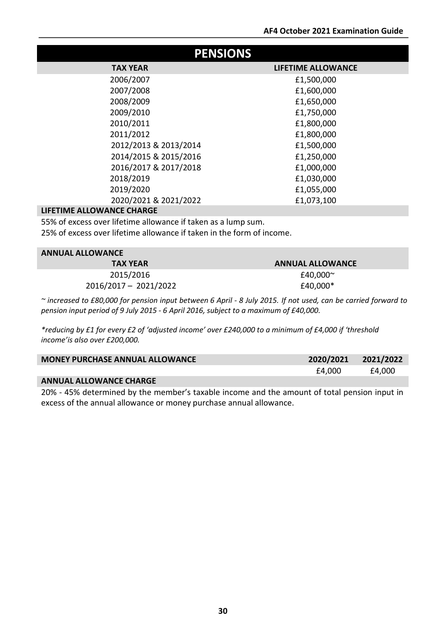| <b>PENSIONS</b>       |                           |  |  |
|-----------------------|---------------------------|--|--|
| <b>TAX YEAR</b>       | <b>LIFETIME ALLOWANCE</b> |  |  |
| 2006/2007             | £1,500,000                |  |  |
| 2007/2008             | £1,600,000                |  |  |
| 2008/2009             | £1,650,000                |  |  |
| 2009/2010             | £1,750,000                |  |  |
| 2010/2011             | £1,800,000                |  |  |
| 2011/2012             | £1,800,000                |  |  |
| 2012/2013 & 2013/2014 | £1,500,000                |  |  |
| 2014/2015 & 2015/2016 | £1,250,000                |  |  |
| 2016/2017 & 2017/2018 | £1,000,000                |  |  |
| 2018/2019             | £1,030,000                |  |  |
| 2019/2020             | £1,055,000                |  |  |
| 2020/2021 & 2021/2022 | £1,073,100                |  |  |

#### **LIFETIME ALLOWANCE CHARGE**

55% of excess over lifetime allowance if taken as a lump sum.

25% of excess over lifetime allowance if taken in the form of income.

| <b>ANNUAL ALLOWANCE</b> |                         |  |  |
|-------------------------|-------------------------|--|--|
| <b>TAX YEAR</b>         | <b>ANNUAL ALLOWANCE</b> |  |  |
| 2015/2016               | £40,000 $\sim$          |  |  |
| 2016/2017 - 2021/2022   | £40,000*                |  |  |

~ increased to £80,000 for pension input between 6 April - 8 July 2015. If not used, can be carried forward to *pension input period of 9 July 2015 - 6 April 2016, subject to a maximum of £40,000.*

*\*reducing by £1 for every £2 of 'adjusted income' over £240,000 to a minimum of £4,000 if 'threshold income'is also over £200,000.*

| <b>MONEY PURCHASE ANNUAL ALLOWANCE</b> | 2020/2021 | 2021/2022 |
|----------------------------------------|-----------|-----------|
|                                        | £4.000    | £4,000    |
| <b>ANNUAL ALLOWANCE CHARGE</b>         |           |           |

20% - 45% determined by the member's taxable income and the amount of total pension input in excess of the annual allowance or money purchase annual allowance.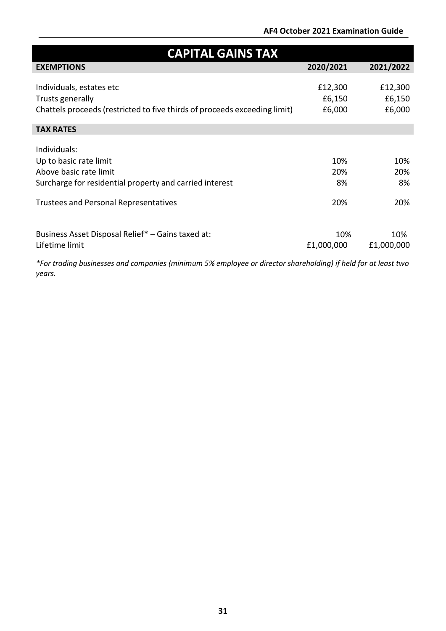# **AF4 October 2021 Examination Guide**

| <b>CAPITAL GAINS TAX</b>                                                  |            |            |  |  |
|---------------------------------------------------------------------------|------------|------------|--|--|
| <b>EXEMPTIONS</b>                                                         | 2020/2021  | 2021/2022  |  |  |
|                                                                           |            |            |  |  |
| Individuals, estates etc                                                  | £12,300    | £12,300    |  |  |
| Trusts generally                                                          | £6,150     | £6,150     |  |  |
| Chattels proceeds (restricted to five thirds of proceeds exceeding limit) | £6,000     | £6,000     |  |  |
|                                                                           |            |            |  |  |
| <b>TAX RATES</b>                                                          |            |            |  |  |
| Individuals:                                                              |            |            |  |  |
|                                                                           |            |            |  |  |
| Up to basic rate limit                                                    | 10%        | 10%        |  |  |
| Above basic rate limit                                                    | 20%        | 20%        |  |  |
| Surcharge for residential property and carried interest                   | 8%         | 8%         |  |  |
|                                                                           |            |            |  |  |
| <b>Trustees and Personal Representatives</b>                              | 20%        | 20%        |  |  |
|                                                                           |            |            |  |  |
| Business Asset Disposal Relief* - Gains taxed at:                         | 10%        | 10%        |  |  |
| Lifetime limit                                                            | £1,000,000 | £1,000,000 |  |  |
|                                                                           |            |            |  |  |

*\*For trading businesses and companies (minimum 5% employee or director shareholding) if held for at least two years.*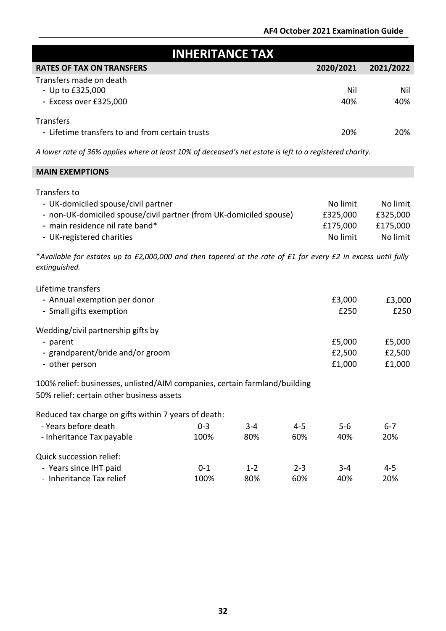| <b>INHERITANCE TAX</b>                                                                                                         |                 |                |                |              |                |
|--------------------------------------------------------------------------------------------------------------------------------|-----------------|----------------|----------------|--------------|----------------|
| <b>RATES OF TAX ON TRANSFERS</b>                                                                                               |                 |                |                | 2020/2021    | 2021/2022      |
| Transfers made on death                                                                                                        |                 |                |                | Nil          | Nil            |
| - Up to £325,000<br>- Excess over £325,000                                                                                     |                 |                |                | 40%          | 40%            |
|                                                                                                                                |                 |                |                |              |                |
| <b>Transfers</b>                                                                                                               |                 |                |                |              |                |
| - Lifetime transfers to and from certain trusts                                                                                |                 |                |                | 20%          | 20%            |
| A lower rate of 36% applies where at least 10% of deceased's net estate is left to a registered charity.                       |                 |                |                |              |                |
| <b>MAIN EXEMPTIONS</b>                                                                                                         |                 |                |                |              |                |
| Transfers to                                                                                                                   |                 |                |                |              |                |
| - UK-domiciled spouse/civil partner                                                                                            |                 |                |                | No limit     | No limit       |
| - non-UK-domiciled spouse/civil partner (from UK-domiciled spouse)                                                             |                 |                |                | £325,000     | £325,000       |
| - main residence nil rate band*                                                                                                |                 |                |                | £175,000     | £175,000       |
| - UK-registered charities                                                                                                      |                 |                |                | No limit     | No limit       |
| *Available for estates up to £2,000,000 and then tapered at the rate of £1 for every £2 in excess until fully<br>extinguished. |                 |                |                |              |                |
|                                                                                                                                |                 |                |                |              |                |
| Lifetime transfers                                                                                                             |                 |                |                |              |                |
| - Annual exemption per donor                                                                                                   |                 |                |                | £3,000       | £3,000         |
| - Small gifts exemption                                                                                                        |                 |                |                | £250         | £250           |
| Wedding/civil partnership gifts by                                                                                             |                 |                |                |              |                |
| - parent                                                                                                                       |                 |                |                | £5,000       | £5,000         |
| - grandparent/bride and/or groom                                                                                               |                 |                |                | £2,500       | £2,500         |
| - other person                                                                                                                 |                 |                |                | £1,000       | £1,000         |
| 100% relief: businesses, unlisted/AIM companies, certain farmland/building<br>50% relief: certain other business assets        |                 |                |                |              |                |
|                                                                                                                                |                 |                |                |              |                |
| Reduced tax charge on gifts within 7 years of death:                                                                           |                 |                |                |              |                |
| - Years before death                                                                                                           | $0 - 3$<br>100% | $3 - 4$<br>80% | $4 - 5$<br>60% | $5-6$<br>40% | $6 - 7$<br>20% |
| - Inheritance Tax payable                                                                                                      |                 |                |                |              |                |
| Quick succession relief:                                                                                                       |                 |                |                |              |                |
| - Years since IHT paid                                                                                                         | $0 - 1$         | $1 - 2$        | $2 - 3$        | $3 - 4$      | $4 - 5$        |
| - Inheritance Tax relief                                                                                                       | 100%            | 80%            | 60%            | 40%          | 20%            |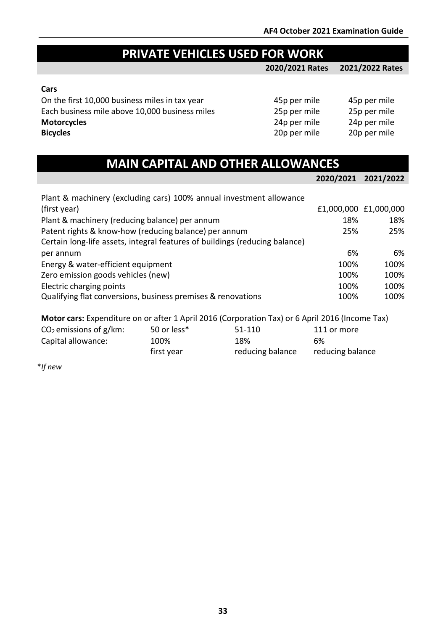# **PRIVATE VEHICLES USED FOR WORK**

**2020/2021 Rates 2021/2022 Rates**

#### **Cars**

On the first 10,000 business miles in tax year 45p per mile 45p per mile 45p per mile Each business mile above 10,000 business miles 25p per mile 25p per mile<br>
24p per mile 24p per mile 24p per mile **Motorcycles**<br> **Bicycles**<br>
20p per mile 20p per mile<br>
20p per mile 20p per mile **Bicycles** 20p per mile 20p per mile

| 45p per mile | 45p per mi |
|--------------|------------|
| 25p per mile | 25p per m  |
| 24p per mile | 24p per m  |
| 20p per mile | 20p per mi |

| <b>MAIN CAPITAL AND OTHER ALLOWANCES</b> |  |
|------------------------------------------|--|
|                                          |  |
|                                          |  |

|                                                                             | 2020/2021 | 2021/2022             |
|-----------------------------------------------------------------------------|-----------|-----------------------|
| Plant & machinery (excluding cars) 100% annual investment allowance         |           |                       |
| (first year)                                                                |           | £1,000,000 £1,000,000 |
| Plant & machinery (reducing balance) per annum                              | 18%       | 18%                   |
| Patent rights & know-how (reducing balance) per annum                       | 25%       | 25%                   |
| Certain long-life assets, integral features of buildings (reducing balance) |           |                       |
| per annum                                                                   | 6%        | 6%                    |
| Energy & water-efficient equipment                                          | 100%      | 100%                  |
| Zero emission goods vehicles (new)                                          | 100%      | 100%                  |
| Electric charging points                                                    | 100%      | 100%                  |
| Qualifying flat conversions, business premises & renovations                | 100%      | 100%                  |

**Motor cars:** Expenditure on or after 1 April 2016 (Corporation Tax) or 6 April 2016 (Income Tax)

| $CO2$ emissions of g/km: | 50 or less* | 51-110           | 111 or more      |
|--------------------------|-------------|------------------|------------------|
| Capital allowance:       | 100%        | 18%              | 6%               |
|                          | first year  | reducing balance | reducing balance |

\**If new*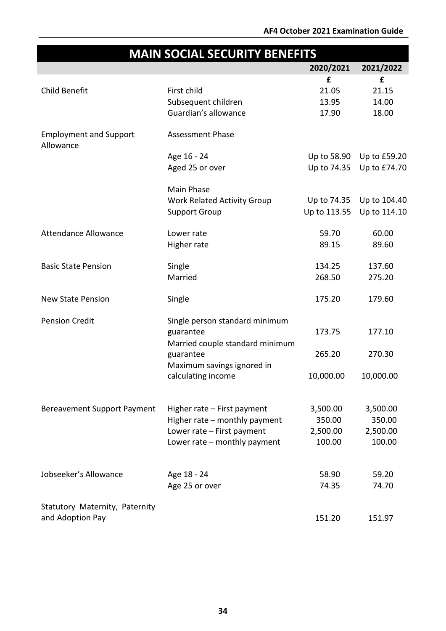# **MAIN SOCIAL SECURITY BENEFITS 2020/2021 2021/2022** Child Benefit First child **£** 21.05 **£** 21.15 Subsequent children 13.95 14.00 Guardian's allowance and the 17.90 18.00 Employment and Support Allowance Assessment Phase Age 16 - 24 Up to 58.90 Up to £59.20 Aged 25 or over Up to 74.35 Up to £74.70 Main Phase Work Related Activity Group Up to 74.35 Up to 104.40 Support Group Up to 113.55 Up to 114.10 Attendance Allowance Manusculi Lower rate Manusculi and the S9.70 60.00 Higher rate 89.15 89.60 Basic State Pension Single 134.25 137.60 Married 268.50 275.20 New State Pension Single 175.20 179.60 Pension Credit Single person standard minimum guarantee 173.75 177.10 Married couple standard minimum guarantee 265.20 270.30 Maximum savings ignored in calculating income 10,000.00 10,000.00 Bereavement Support Payment Higher rate – First payment 3,500.00 3,500.00 Higher rate – monthly payment 350.00 350.00 Lower rate – First payment 2,500.00 2,500.00 Lower rate – monthly payment 100.00 100.00 Jobseeker's Allowance  $\angle$  Age 18 - 24 58.90 59.20 Age 25 or over 74.35 74.70 Statutory Maternity, Paternity and Adoption Pay 151.97